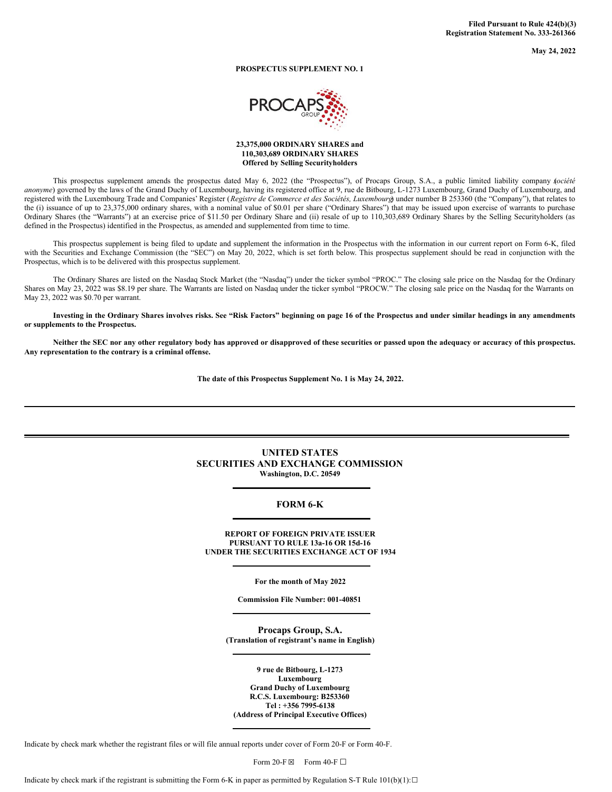**May 24, 2022**

# **PROSPECTUS SUPPLEMENT NO. 1**



## **23,375,000 ORDINARY SHARES and 110,303,689 ORDINARY SHARES Offered by Selling Securityholders**

This prospectus supplement amends the prospectus dated May 6, 2022 (the "Prospectus"), of Procaps Group, S.A., a public limited liability company *s*(*ociété anonyme*) governed by the laws of the Grand Duchy of Luxembourg, having its registered office at 9, rue de Bitbourg, L-1273 Luxembourg, Grand Duchy of Luxembourg, and registered with the Luxembourg Trade and Companies' Register (*Registre de Commerce et des Sociétés, Luxembourg*) under number B 253360 (the "Company"), that relates to the (i) issuance of up to 23,375,000 ordinary shares, with a nominal value of \$0.01 per share ("Ordinary Shares") that may be issued upon exercise of warrants to purchase Ordinary Shares (the "Warrants") at an exercise price of \$11.50 per Ordinary Share and (ii) resale of up to 110,303,689 Ordinary Shares by the Selling Securityholders (as defined in the Prospectus) identified in the Prospectus, as amended and supplemented from time to time.

This prospectus supplement is being filed to update and supplement the information in the Prospectus with the information in our current report on Form 6-K, filed with the Securities and Exchange Commission (the "SEC") on May 20, 2022, which is set forth below. This prospectus supplement should be read in conjunction with the Prospectus, which is to be delivered with this prospectus supplement.

The Ordinary Shares are listed on the Nasdaq Stock Market (the "Nasdaq") under the ticker symbol "PROC." The closing sale price on the Nasdaq for the Ordinary Shares on May 23, 2022 was \$8.19 per share. The Warrants are listed on Nasdaq under the ticker symbol "PROCW." The closing sale price on the Nasdaq for the Warrants on May 23, 2022 was \$0.70 per warrant.

Investing in the Ordinary Shares involves risks. See "Risk Factors" beginning on page 16 of the Prospectus and under similar headings in any amendments **or supplements to the Prospectus.**

Neither the SEC nor any other regulatory body has approved or disapproved of these securities or passed upon the adequacy or accuracy of this prospectus. **Any representation to the contrary is a criminal offense.**

**The date of this Prospectus Supplement No. 1 is May 24, 2022.**

# **UNITED STATES SECURITIES AND EXCHANGE COMMISSION Washington, D.C. 20549**

# **FORM 6-K**

**REPORT OF FOREIGN PRIVATE ISSUER PURSUANT TO RULE 13a-16 OR 15d-16 UNDER THE SECURITIES EXCHANGE ACT OF 1934**

**For the month of May 2022**

**Commission File Number: 001-40851**

**Procaps Group, S.A. (Translation of registrant's name in English)**

**9 rue de Bitbourg, L-1273 Luxembourg Grand Duchy of Luxembourg R.C.S. Luxembourg: B253360 Tel : +356 7995-6138 (Address of Principal Executive Offices)**

Indicate by check mark whether the registrant files or will file annual reports under cover of Form 20-F or Form 40-F.

Form 20-F  $\boxtimes$  Form 40-F  $\Box$ 

Indicate by check mark if the registrant is submitting the Form 6-K in paper as permitted by Regulation S-T Rule  $101(b)(1):□$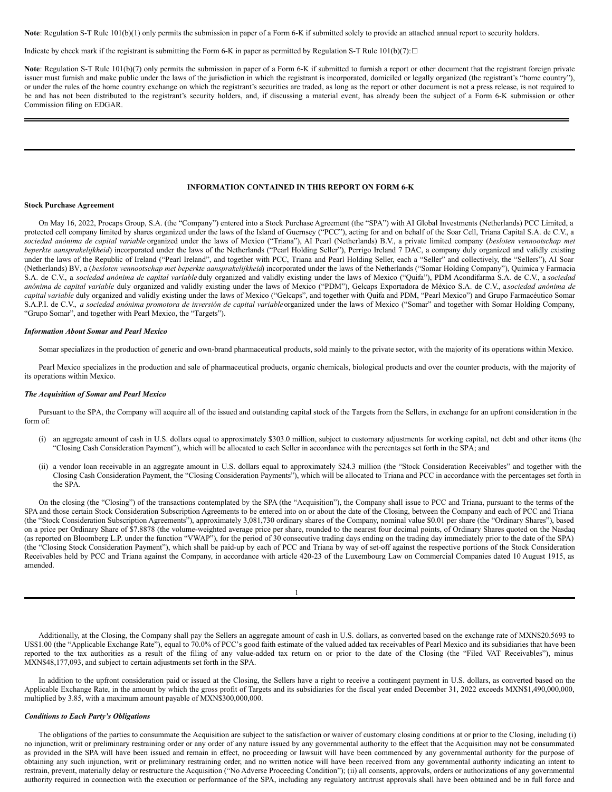**Note**: Regulation S-T Rule 101(b)(1) only permits the submission in paper of a Form 6-K if submitted solely to provide an attached annual report to security holders.

Indicate by check mark if the registrant is submitting the Form 6-K in paper as permitted by Regulation S-T Rule  $101(b)(7):□$ 

Note: Regulation S-T Rule 101(b)(7) only permits the submission in paper of a Form 6-K if submitted to furnish a report or other document that the registrant foreign private issuer must furnish and make public under the laws of the jurisdiction in which the registrant is incorporated, domiciled or legally organized (the registrant's "home country"), or under the rules of the home country exchange on which the registrant's securities are traded, as long as the report or other document is not a press release, is not required to be and has not been distributed to the registrant's security holders, and, if discussing a material event, has already been the subject of a Form 6-K submission or other Commission filing on EDGAR.

### **INFORMATION CONTAINED IN THIS REPORT ON FORM 6-K**

#### **Stock Purchase Agreement**

On May 16, 2022, Procaps Group, S.A. (the "Company") entered into a Stock Purchase Agreement (the "SPA") with AI Global Investments (Netherlands) PCC Limited, a protected cell company limited by shares organized under the laws of the Island of Guernsey ("PCC"), acting for and on behalf of the Soar Cell, Triana Capital S.A. de C.V., a *sociedad anónima de capital variable* organized under the laws of Mexico ("Triana"), AI Pearl (Netherlands) B.V., a private limited company (*besloten vennootschap met beperkte aansprakelijkheid*) incorporated under the laws of the Netherlands ("Pearl Holding Seller"), Perrigo Ireland 7 DAC, a company duly organized and validly existing under the laws of the Republic of Ireland ("Pearl Ireland", and together with PCC, Triana and Pearl Holding Seller, each a "Seller" and collectively, the "Sellers"), AI Soar (Netherlands) BV, a (*besloten vennootschap met beperkte aansprakelijkheid*) incorporated under the laws of the Netherlands ("Somar Holding Company"), Química y Farmacia S.A. de C.V., a *sociedad anónima de capital variable* duly organized and validly existing under the laws of Mexico ("Quifa"), PDM Acondifarma S.A. de C.V., a *sociedad anónima de capital variable* duly organized and validly existing under the laws of Mexico ("PDM"), Gelcaps Exportadora de México S.A. de C.V., a *sociedad anónima de capital variable* duly organized and validly existing under the laws of Mexico ("Gelcaps", and together with Quifa and PDM, "Pearl Mexico") and Grupo Farmacéutico Somar S.A.P.I. de C.V., a sociedad anónima promotora de inversión de capital variable organized under the laws of Mexico ("Somar" and together with Somar Holding Company, "Grupo Somar", and together with Pearl Mexico, the "Targets").

#### *Information About Somar and Pearl Mexico*

Somar specializes in the production of generic and own-brand pharmaceutical products, sold mainly to the private sector, with the majority of its operations within Mexico.

Pearl Mexico specializes in the production and sale of pharmaceutical products, organic chemicals, biological products and over the counter products, with the majority of its operations within Mexico.

### *The Acquisition of Somar and Pearl Mexico*

Pursuant to the SPA, the Company will acquire all of the issued and outstanding capital stock of the Targets from the Sellers, in exchange for an upfront consideration in the form of:

- (i) an aggregate amount of cash in U.S. dollars equal to approximately \$303.0 million, subject to customary adjustments for working capital, net debt and other items (the "Closing Cash Consideration Payment"), which will be allocated to each Seller in accordance with the percentages set forth in the SPA; and
- (ii) a vendor loan receivable in an aggregate amount in U.S. dollars equal to approximately \$24.3 million (the "Stock Consideration Receivables" and together with the Closing Cash Consideration Payment, the "Closing Consideration Payments"), which will be allocated to Triana and PCC in accordance with the percentages set forth in the SPA.

On the closing (the "Closing") of the transactions contemplated by the SPA (the "Acquisition"), the Company shall issue to PCC and Triana, pursuant to the terms of the SPA and those certain Stock Consideration Subscription Agreements to be entered into on or about the date of the Closing, between the Company and each of PCC and Triana (the "Stock Consideration Subscription Agreements"), approximately 3,081,730 ordinary shares of the Company, nominal value \$0.01 per share (the "Ordinary Shares"), based on a price per Ordinary Share of \$7.8878 (the volume-weighted average price per share, rounded to the nearest four decimal points, of Ordinary Shares quoted on the Nasdaq (as reported on Bloomberg L.P. under the function "VWAP"), for the period of 30 consecutive trading days ending on the trading day immediately prior to the date of the SPA) (the "Closing Stock Consideration Payment"), which shall be paid-up by each of PCC and Triana by way of set-off against the respective portions of the Stock Consideration Receivables held by PCC and Triana against the Company, in accordance with article 420-23 of the Luxembourg Law on Commercial Companies dated 10 August 1915, as amended.

Additionally, at the Closing, the Company shall pay the Sellers an aggregate amount of cash in U.S. dollars, as converted based on the exchange rate of MXN\$20.5693 to US\$1.00 (the "Applicable Exchange Rate"), equal to 70.0% of PCC's good faith estimate of the valued added tax receivables of Pearl Mexico and its subsidiaries that have been reported to the tax authorities as a result of the filing of any value-added tax return on or prior to the date of the Closing (the "Filed VAT Receivables"), minus MXN\$48,177,093, and subject to certain adjustments set forth in the SPA.

In addition to the upfront consideration paid or issued at the Closing, the Sellers have a right to receive a contingent payment in U.S. dollars, as converted based on the Applicable Exchange Rate, in the amount by which the gross profit of Targets and its subsidiaries for the fiscal year ended December 31, 2022 exceeds MXN\$1,490,000,000, multiplied by 3.85, with a maximum amount payable of MXN\$300,000,000.

# *Conditions to Each Party's Obligations*

The obligations of the parties to consummate the Acquisition are subject to the satisfaction or waiver of customary closing conditions at or prior to the Closing, including (i) no injunction, writ or preliminary restraining order or any order of any nature issued by any governmental authority to the effect that the Acquisition may not be consummated as provided in the SPA will have been issued and remain in effect, no proceeding or lawsuit will have been commenced by any governmental authority for the purpose of obtaining any such injunction, writ or preliminary restraining order, and no written notice will have been received from any governmental authority indicating an intent to restrain, prevent, materially delay or restructure the Acquisition ("No Adverse Proceeding Condition"); (ii) all consents, approvals, orders or authorizations of any governmental authority required in connection with the execution or performance of the SPA, including any regulatory antitrust approvals shall have been obtained and be in full force and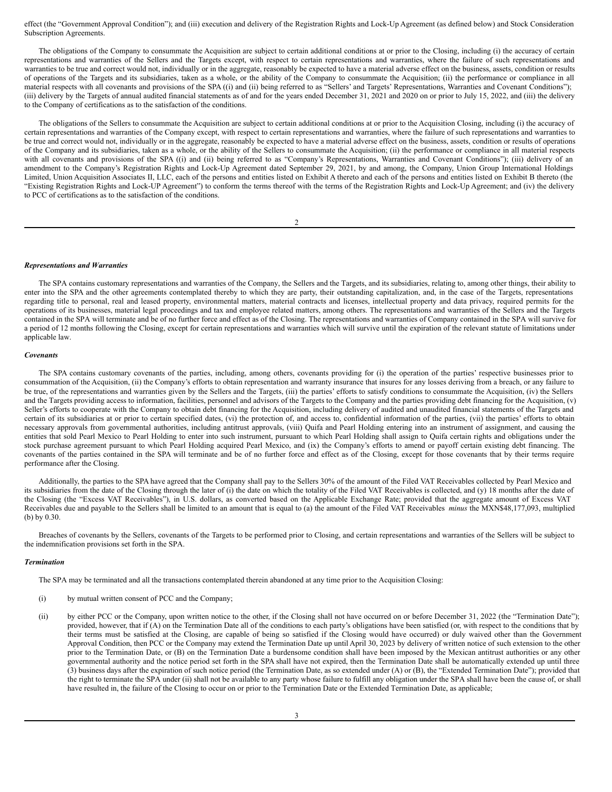effect (the "Government Approval Condition"); and (iii) execution and delivery of the Registration Rights and Lock-Up Agreement (as defined below) and Stock Consideration Subscription Agreements.

The obligations of the Company to consummate the Acquisition are subject to certain additional conditions at or prior to the Closing, including (i) the accuracy of certain representations and warranties of the Sellers and the Targets except, with respect to certain representations and warranties, where the failure of such representations and warranties to be true and correct would not, individually or in the aggregate, reasonably be expected to have a material adverse effect on the business, assets, condition or results of operations of the Targets and its subsidiaries, taken as a whole, or the ability of the Company to consummate the Acquisition; (ii) the performance or compliance in all material respects with all covenants and provisions of the SPA ((i) and (ii) being referred to as "Sellers' and Targets' Representations, Warranties and Covenant Conditions"); (iii) delivery by the Targets of annual audited financial statements as of and for the years ended December 31, 2021 and 2020 on or prior to July 15, 2022, and (iii) the delivery to the Company of certifications as to the satisfaction of the conditions.

The obligations of the Sellers to consummate the Acquisition are subject to certain additional conditions at or prior to the Acquisition Closing, including (i) the accuracy of certain representations and warranties of the Company except, with respect to certain representations and warranties, where the failure of such representations and warranties to be true and correct would not, individually or in the aggregate, reasonably be expected to have a material adverse effect on the business, assets, condition or results of operations of the Company and its subsidiaries, taken as a whole, or the ability of the Sellers to consummate the Acquisition; (ii) the performance or compliance in all material respects with all covenants and provisions of the SPA ((i) and (ii) being referred to as "Company's Representations, Warranties and Covenant Conditions"); (iii) delivery of an amendment to the Company's Registration Rights and Lock-Up Agreement dated September 29, 2021, by and among, the Company, Union Group International Holdings Limited, Union Acquisition Associates II, LLC, each of the persons and entities listed on Exhibit A thereto and each of the persons and entities listed on Exhibit B thereto (the "Existing Registration Rights and Lock-UP Agreement") to conform the terms thereof with the terms of the Registration Rights and Lock-Up Agreement; and (iv) the delivery to PCC of certifications as to the satisfaction of the conditions.

 $\overline{\phantom{a}}$ 

#### *Representations and Warranties*

The SPA contains customary representations and warranties of the Company, the Sellers and the Targets, and its subsidiaries, relating to, among other things, their ability to enter into the SPA and the other agreements contemplated thereby to which they are party, their outstanding capitalization, and, in the case of the Targets, representations regarding title to personal, real and leased property, environmental matters, material contracts and licenses, intellectual property and data privacy, required permits for the operations of its businesses, material legal proceedings and tax and employee related matters, among others. The representations and warranties of the Sellers and the Targets contained in the SPA will terminate and be of no further force and effect as of the Closing. The representations and warranties of Company contained in the SPA will survive for a period of 12 months following the Closing, except for certain representations and warranties which will survive until the expiration of the relevant statute of limitations under applicable law.

#### *Covenants*

The SPA contains customary covenants of the parties, including, among others, covenants providing for (i) the operation of the parties' respective businesses prior to consummation of the Acquisition, (ii) the Company's efforts to obtain representation and warranty insurance that insures for any losses deriving from a breach, or any failure to be true, of the representations and warranties given by the Sellers and the Targets, (iii) the parties' efforts to satisfy conditions to consummate the Acquisition, (iv) the Sellers and the Targets providing access to information, facilities, personnel and advisors of the Targets to the Company and the parties providing debt financing for the Acquisition, (v) Seller's efforts to cooperate with the Company to obtain debt financing for the Acquisition, including delivery of audited and unaudited financial statements of the Targets and certain of its subsidiaries at or prior to certain specified dates, (vi) the protection of, and access to, confidential information of the parties, (vii) the parties' efforts to obtain necessary approvals from governmental authorities, including antitrust approvals, (viii) Quifa and Pearl Holding entering into an instrument of assignment, and causing the entities that sold Pearl Mexico to Pearl Holding to enter into such instrument, pursuant to which Pearl Holding shall assign to Quifa certain rights and obligations under the stock purchase agreement pursuant to which Pearl Holding acquired Pearl Mexico, and (ix) the Company's efforts to amend or payoff certain existing debt financing. The covenants of the parties contained in the SPA will terminate and be of no further force and effect as of the Closing, except for those covenants that by their terms require performance after the Closing.

Additionally, the parties to the SPA have agreed that the Company shall pay to the Sellers 30% of the amount of the Filed VAT Receivables collected by Pearl Mexico and its subsidiaries from the date of the Closing through the later of (i) the date on which the totality of the Filed VAT Receivables is collected, and (y) 18 months after the date of the Closing (the "Excess VAT Receivables"), in U.S. dollars, as converted based on the Applicable Exchange Rate; provided that the aggregate amount of Excess VAT Receivables due and payable to the Sellers shall be limited to an amount that is equal to (a) the amount of the Filed VAT Receivables *minus* the MXN\$48,177,093, multiplied (b) by 0.30.

Breaches of covenants by the Sellers, covenants of the Targets to be performed prior to Closing, and certain representations and warranties of the Sellers will be subject to the indemnification provisions set forth in the SPA.

#### *Termination*

The SPA may be terminated and all the transactions contemplated therein abandoned at any time prior to the Acquisition Closing:

- (i) by mutual written consent of PCC and the Company;
- (ii) by either PCC or the Company, upon written notice to the other, if the Closing shall not have occurred on or before December 31, 2022 (the "Termination Date"); provided, however, that if (A) on the Termination Date all of the conditions to each party's obligations have been satisfied (or, with respect to the conditions that by their terms must be satisfied at the Closing, are capable of being so satisfied if the Closing would have occurred) or duly waived other than the Government Approval Condition, then PCC or the Company may extend the Termination Date up until April 30, 2023 by delivery of written notice of such extension to the other prior to the Termination Date, or (B) on the Termination Date a burdensome condition shall have been imposed by the Mexican antitrust authorities or any other governmental authority and the notice period set forth in the SPA shall have not expired, then the Termination Date shall be automatically extended up until three (3) business days after the expiration of such notice period (the Termination Date, as so extended under (A) or (B), the "Extended Termination Date"); provided that the right to terminate the SPA under (ii) shall not be available to any party whose failure to fulfill any obligation under the SPA shall have been the cause of, or shall have resulted in, the failure of the Closing to occur on or prior to the Termination Date or the Extended Termination Date, as applicable;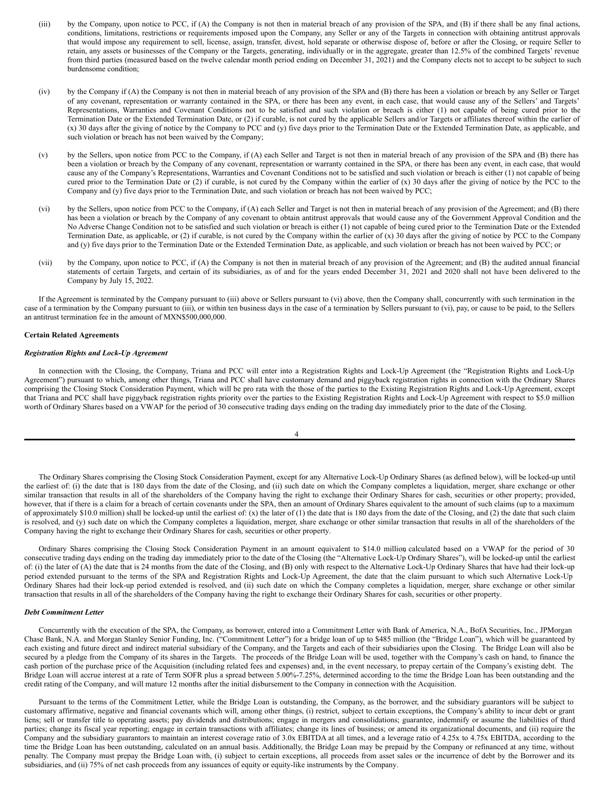- (iii) by the Company, upon notice to PCC, if (A) the Company is not then in material breach of any provision of the SPA, and (B) if there shall be any final actions, conditions, limitations, restrictions or requirements imposed upon the Company, any Seller or any of the Targets in connection with obtaining antitrust approvals that would impose any requirement to sell, license, assign, transfer, divest, hold separate or otherwise dispose of, before or after the Closing, or require Seller to retain, any assets or businesses of the Company or the Targets, generating, individually or in the aggregate, greater than 12.5% of the combined Targets' revenue from third parties (measured based on the twelve calendar month period ending on December 31, 2021) and the Company elects not to accept to be subject to such burdensome condition;
- (iv) by the Company if (A) the Company is not then in material breach of any provision of the SPA and (B) there has been a violation or breach by any Seller or Target of any covenant, representation or warranty contained in the SPA, or there has been any event, in each case, that would cause any of the Sellers' and Targets' Representations, Warranties and Covenant Conditions not to be satisfied and such violation or breach is either (1) not capable of being cured prior to the Termination Date or the Extended Termination Date, or (2) if curable, is not cured by the applicable Sellers and/or Targets or affiliates thereof within the earlier of (x) 30 days after the giving of notice by the Company to PCC and (y) five days prior to the Termination Date or the Extended Termination Date, as applicable, and such violation or breach has not been waived by the Company;
- (v) by the Sellers, upon notice from PCC to the Company, if (A) each Seller and Target is not then in material breach of any provision of the SPA and (B) there has been a violation or breach by the Company of any covenant, representation or warranty contained in the SPA, or there has been any event, in each case, that would cause any of the Company's Representations, Warranties and Covenant Conditions not to be satisfied and such violation or breach is either (1) not capable of being cured prior to the Termination Date or (2) if curable, is not cured by the Company within the earlier of (x) 30 days after the giving of notice by the PCC to the Company and (y) five days prior to the Termination Date, and such violation or breach has not been waived by PCC;
- (vi) by the Sellers, upon notice from PCC to the Company, if (A) each Seller and Target is not then in material breach of any provision of the Agreement; and (B) there has been a violation or breach by the Company of any covenant to obtain antitrust approvals that would cause any of the Government Approval Condition and the No Adverse Change Condition not to be satisfied and such violation or breach is either (1) not capable of being cured prior to the Termination Date or the Extended Termination Date, as applicable, or (2) if curable, is not cured by the Company within the earlier of (x) 30 days after the giving of notice by PCC to the Company and (y) five days prior to the Termination Date or the Extended Termination Date, as applicable, and such violation or breach has not been waived by PCC; or
- (vii) by the Company, upon notice to PCC, if (A) the Company is not then in material breach of any provision of the Agreement; and (B) the audited annual financial statements of certain Targets, and certain of its subsidiaries, as of and for the years ended December 31, 2021 and 2020 shall not have been delivered to the Company by July 15, 2022.

If the Agreement is terminated by the Company pursuant to (iii) above or Sellers pursuant to (vi) above, then the Company shall, concurrently with such termination in the case of a termination by the Company pursuant to (iii), or within ten business days in the case of a termination by Sellers pursuant to (vi), pay, or cause to be paid, to the Sellers an antitrust termination fee in the amount of MXN\$500,000,000.

## **Certain Related Agreements**

### *Registration Rights and Lock-Up Agreement*

In connection with the Closing, the Company, Triana and PCC will enter into a Registration Rights and Lock-Up Agreement (the "Registration Rights and Lock-Up Agreement") pursuant to which, among other things, Triana and PCC shall have customary demand and piggyback registration rights in connection with the Ordinary Shares comprising the Closing Stock Consideration Payment, which will be pro rata with the those of the parties to the Existing Registration Rights and Lock-Up Agreement, except that Triana and PCC shall have piggyback registration rights priority over the parties to the Existing Registration Rights and Lock-Up Agreement with respect to \$5.0 million worth of Ordinary Shares based on a VWAP for the period of 30 consecutive trading days ending on the trading day immediately prior to the date of the Closing.

| ٦ |
|---|
|---|

The Ordinary Shares comprising the Closing Stock Consideration Payment, except for any Alternative Lock-Up Ordinary Shares (as defined below), will be locked-up until the earliest of: (i) the date that is 180 days from the date of the Closing, and (ii) such date on which the Company completes a liquidation, merger, share exchange or other similar transaction that results in all of the shareholders of the Company having the right to exchange their Ordinary Shares for cash, securities or other property; provided, however, that if there is a claim for a breach of certain covenants under the SPA, then an amount of Ordinary Shares equivalent to the amount of such claims (up to a maximum of approximately \$10.0 million) shall be locked-up until the earliest of: (x) the later of (1) the date that is 180 days from the date of the Closing, and (2) the date that such claim is resolved, and (y) such date on which the Company completes a liquidation, merger, share exchange or other similar transaction that results in all of the shareholders of the Company having the right to exchange their Ordinary Shares for cash, securities or other property.

Ordinary Shares comprising the Closing Stock Consideration Payment in an amount equivalent to \$14.0 million, calculated based on a VWAP for the period of 30 consecutive trading days ending on the trading day immediately prior to the date of the Closing (the "Alternative Lock-Up Ordinary Shares"), will be locked-up until the earliest of: (i) the later of (A) the date that is 24 months from the date of the Closing, and (B) only with respect to the Alternative Lock-Up Ordinary Shares that have had their lock-up period extended pursuant to the terms of the SPA and Registration Rights and Lock-Up Agreement, the date that the claim pursuant to which such Alternative Lock-Up Ordinary Shares had their lock-up period extended is resolved, and (ii) such date on which the Company completes a liquidation, merger, share exchange or other similar transaction that results in all of the shareholders of the Company having the right to exchange their Ordinary Shares for cash, securities or other property.

## *Debt Commitment Letter*

Concurrently with the execution of the SPA, the Company, as borrower, entered into a Commitment Letter with Bank of America, N.A., BofA Securities, Inc., JPMorgan Chase Bank, N.A. and Morgan Stanley Senior Funding, Inc. ("Commitment Letter") for a bridge loan of up to \$485 million (the "Bridge Loan"), which will be guaranteed by each existing and future direct and indirect material subsidiary of the Company, and the Targets and each of their subsidiaries upon the Closing. The Bridge Loan will also be secured by a pledge from the Company of its shares in the Targets. The proceeds of the Bridge Loan will be used, together with the Company's cash on hand, to finance the cash portion of the purchase price of the Acquisition (including related fees and expenses) and, in the event necessary, to prepay certain of the Company's existing debt. The Bridge Loan will accrue interest at a rate of Term SOFR plus a spread between 5.00%-7.25%, determined according to the time the Bridge Loan has been outstanding and the credit rating of the Company, and will mature 12 months after the initial disbursement to the Company in connection with the Acquisition.

Pursuant to the terms of the Commitment Letter, while the Bridge Loan is outstanding, the Company, as the borrower, and the subsidiary guarantors will be subject to customary affirmative, negative and financial covenants which will, among other things, (i) restrict, subject to certain exceptions, the Company's ability to incur debt or grant liens; sell or transfer title to operating assets; pay dividends and distributions; engage in mergers and consolidations; guarantee, indemnify or assume the liabilities of third parties; change its fiscal year reporting; engage in certain transactions with affiliates; change its lines of business; or amend its organizational documents, and (ii) require the Company and the subsidiary guarantors to maintain an interest coverage ratio of 3.0x EBITDA at all times, and a leverage ratio of 4.25x to 4.75x EBITDA, according to the time the Bridge Loan has been outstanding, calculated on an annual basis. Additionally, the Bridge Loan may be prepaid by the Company or refinanced at any time, without penalty. The Company must prepay the Bridge Loan with, (i) subject to certain exceptions, all proceeds from asset sales or the incurrence of debt by the Borrower and its subsidiaries, and (ii) 75% of net cash proceeds from any issuances of equity or equity-like instruments by the Company.